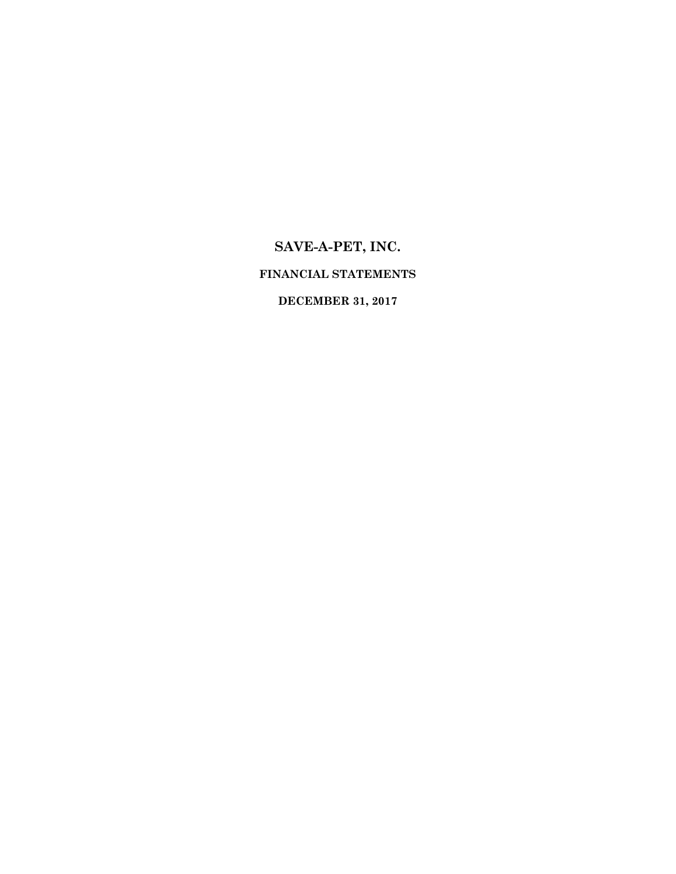# **SAVE-A-PET, INC. FINANCIAL STATEMENTS**

**DECEMBER 31, 2017**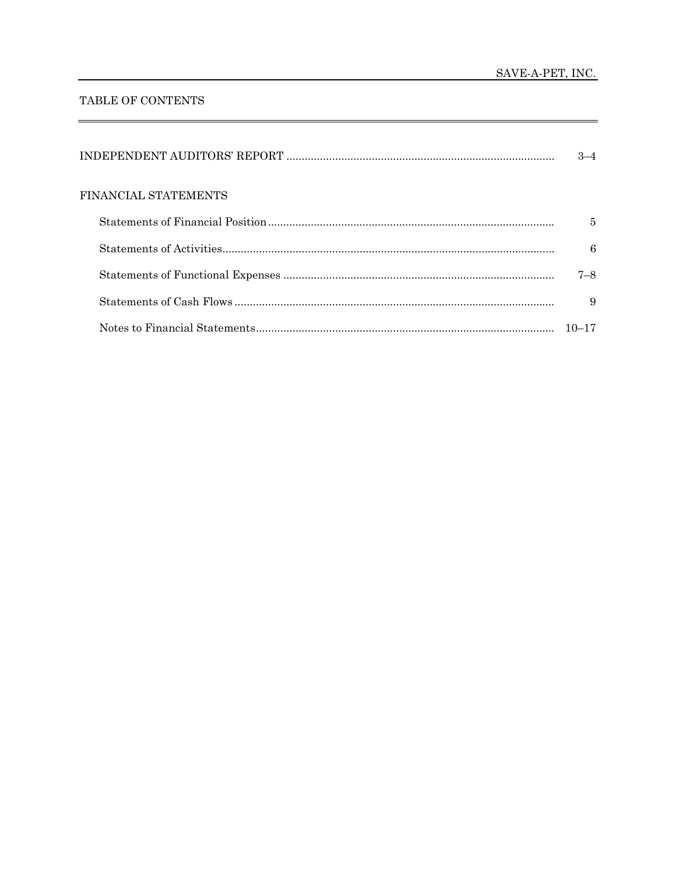#### TABLE OF CONTENTS

|                      | 3–4       |
|----------------------|-----------|
| FINANCIAL STATEMENTS |           |
|                      | 5         |
|                      | 6         |
|                      | $7 - 8$   |
|                      | 9         |
|                      | $10 - 17$ |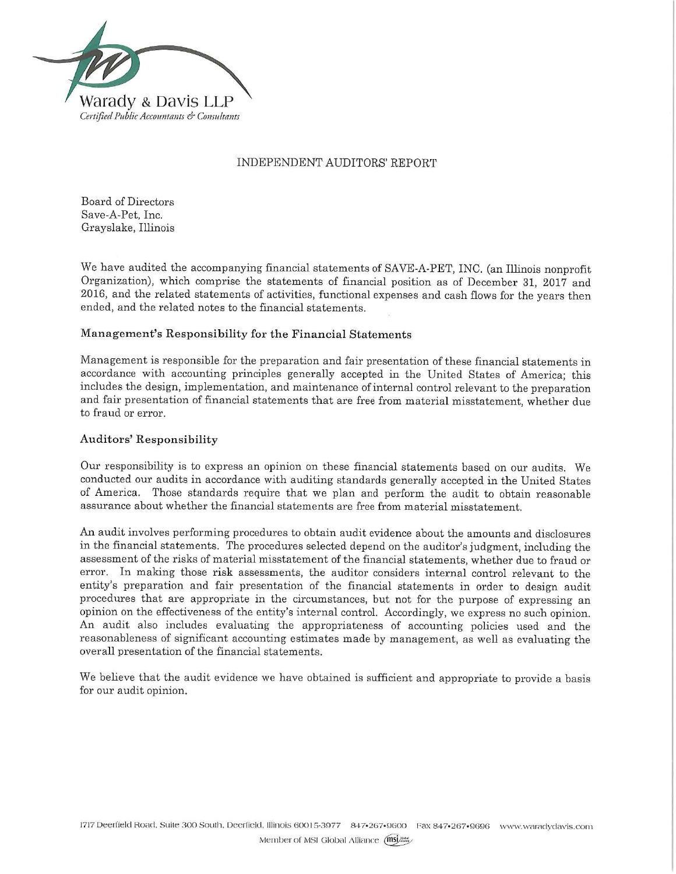

#### INDEPENDENT AUDITORS' REPORT

**Board of Directors** Save-A-Pet, Inc. Grayslake, Illinois

We have audited the accompanying financial statements of SAVE-A-PET, INC. (an Illinois nonprofit Organization), which comprise the statements of financial position as of December 31, 2017 and 2016, and the related statements of activities, functional expenses and cash flows for the years then ended, and the related notes to the financial statements.

#### Management's Responsibility for the Financial Statements

Management is responsible for the preparation and fair presentation of these financial statements in accordance with accounting principles generally accepted in the United States of America; this includes the design, implementation, and maintenance of internal control relevant to the preparation and fair presentation of financial statements that are free from material misstatement, whether due to fraud or error.

#### Auditors' Responsibility

Our responsibility is to express an opinion on these financial statements based on our audits. We conducted our audits in accordance with auditing standards generally accepted in the United States of America. Those standards require that we plan and perform the audit to obtain reasonable assurance about whether the financial statements are free from material misstatement.

An audit involves performing procedures to obtain audit evidence about the amounts and disclosures in the financial statements. The procedures selected depend on the auditor's judgment, including the assessment of the risks of material misstatement of the financial statements, whether due to fraud or error. In making those risk assessments, the auditor considers internal control relevant to the entity's preparation and fair presentation of the financial statements in order to design audit procedures that are appropriate in the circumstances, but not for the purpose of expressing an opinion on the effectiveness of the entity's internal control. Accordingly, we express no such opinion. An audit also includes evaluating the appropriateness of accounting policies used and the reasonableness of significant accounting estimates made by management, as well as evaluating the overall presentation of the financial statements.

We believe that the audit evidence we have obtained is sufficient and appropriate to provide a basis for our audit opinion.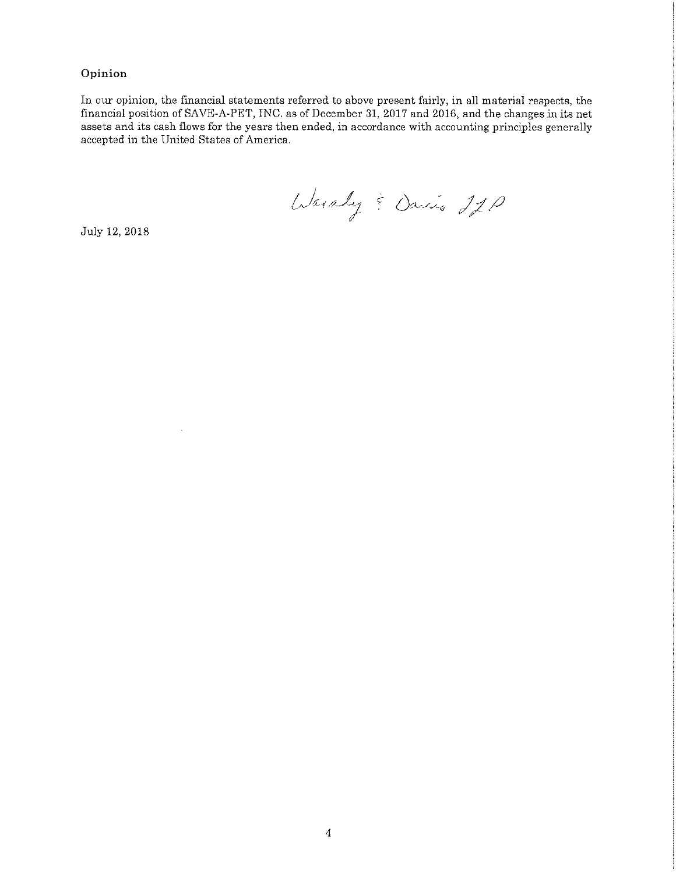#### Opinion

In our opinion, the financial statements referred to above present fairly, in all material respects, the financial position of SAVE-A-PET, INC. as of December 31, 2017 and 2016, and the changes in its net assets and its cash flows for the years then ended, in accordance with accounting principles generally accepted in the United States of America.

Warsley & Davis 220

July 12, 2018

 $\ddot{\phantom{a}}$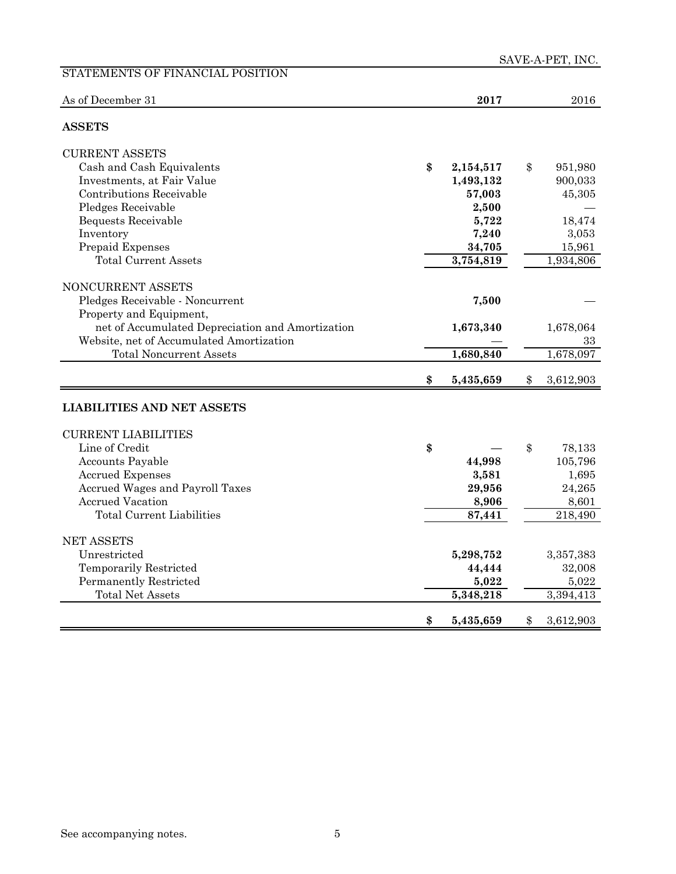| STATEMENTS OF FINANCIAL POSITION                 |                 | ым шит шт, пус. |
|--------------------------------------------------|-----------------|-----------------|
| As of December 31                                | 2017            | 2016            |
| <b>ASSETS</b>                                    |                 |                 |
| <b>CURRENT ASSETS</b>                            |                 |                 |
| Cash and Cash Equivalents                        | \$<br>2,154,517 | \$<br>951,980   |
| Investments, at Fair Value                       | 1,493,132       | 900,033         |
| Contributions Receivable                         | 57,003          | 45,305          |
| Pledges Receivable                               | 2,500           |                 |
| Bequests Receivable                              | 5,722           | 18,474          |
| Inventory                                        | 7,240           | 3,053           |
| Prepaid Expenses                                 | 34,705          | 15,961          |
| <b>Total Current Assets</b>                      | 3,754,819       | 1,934,806       |
|                                                  |                 |                 |
| NONCURRENT ASSETS                                |                 |                 |
| Pledges Receivable - Noncurrent                  | 7,500           |                 |
| Property and Equipment,                          |                 |                 |
| net of Accumulated Depreciation and Amortization | 1,673,340       | 1,678,064       |
| Website, net of Accumulated Amortization         |                 | 33              |
| <b>Total Noncurrent Assets</b>                   | 1,680,840       | 1,678,097       |
|                                                  |                 |                 |
|                                                  | \$<br>5,435,659 | \$<br>3,612,903 |
| <b>LIABILITIES AND NET ASSETS</b>                |                 |                 |
| <b>CURRENT LIABILITIES</b>                       |                 |                 |
| Line of Credit                                   | \$              | \$<br>78,133    |
| <b>Accounts Payable</b>                          | 44,998          | 105,796         |
| <b>Accrued Expenses</b>                          | 3,581           | 1,695           |
| Accrued Wages and Payroll Taxes                  | 29,956          | 24,265          |
| <b>Accrued Vacation</b>                          | 8,906           | 8,601           |
| <b>Total Current Liabilities</b>                 | 87,441          | 218,490         |
|                                                  |                 |                 |
| <b>NET ASSETS</b>                                |                 |                 |
| Unrestricted                                     | 5,298,752       | 3,357,383       |
| Temporarily Restricted                           | 44,444          | 32,008          |
| Permanently Restricted                           | 5,022           | 5,022           |
| Total Net Assets                                 | 5,348,218       | 3,394,413       |
|                                                  | \$<br>5,435,659 | \$<br>3,612,903 |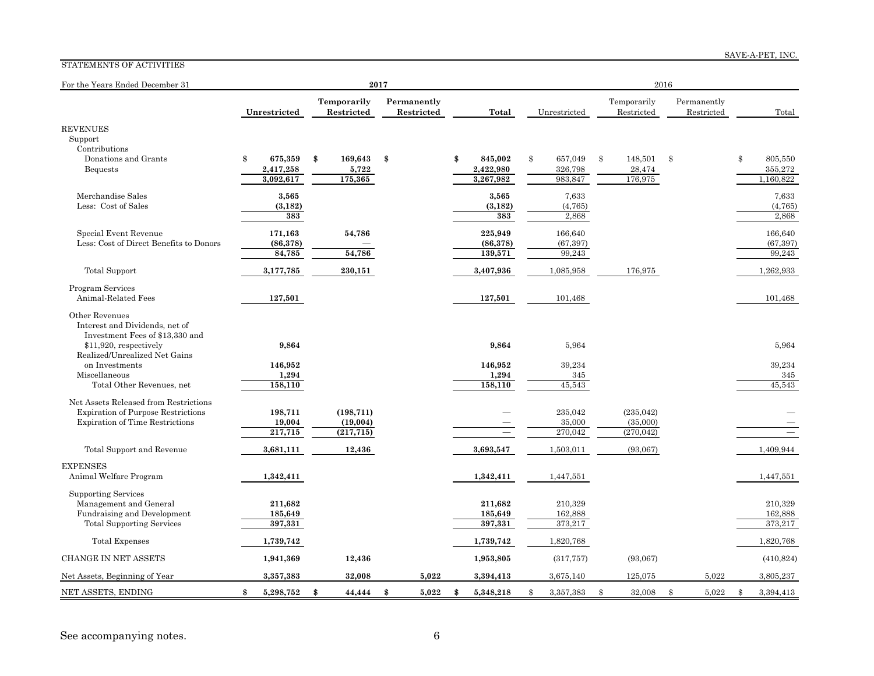#### SAVE-A-PET, INC.

#### STATEMENTS OF ACTIVITIES

| For the Years Ended December 31                                                                                                                |                                |                                      | 2017 |                           |                                 | 2016          |                                |    |                                      |    |                           |    |                                 |
|------------------------------------------------------------------------------------------------------------------------------------------------|--------------------------------|--------------------------------------|------|---------------------------|---------------------------------|---------------|--------------------------------|----|--------------------------------------|----|---------------------------|----|---------------------------------|
|                                                                                                                                                | Unrestricted                   | Temporarily<br>Restricted            |      | Permanently<br>Restricted | Total                           |               | Unrestricted                   |    | Temporarily<br>Restricted            |    | Permanently<br>Restricted |    | Total                           |
| <b>REVENUES</b><br>Support<br>Contributions<br>Donations and Grants                                                                            | \$<br>675,359                  | \$<br>169,643                        | \$   |                           | \$<br>845,002                   | \$            | 657,049                        | \$ | 148,501                              | \$ |                           | \$ | 805,550                         |
| <b>Bequests</b>                                                                                                                                | 2,417,258<br>3,092,617         | 5,722<br>175,365                     |      |                           | 2,422,980<br>3,267,982          |               | 326,798<br>983,847             |    | 28,474<br>176,975                    |    |                           |    | 355,272<br>1,160,822            |
| Merchandise Sales<br>Less: Cost of Sales                                                                                                       | 3,565<br>(3, 182)<br>383       |                                      |      |                           | 3,565<br>(3, 182)<br>383        |               | 7,633<br>(4,765)<br>2,868      |    |                                      |    |                           |    | 7,633<br>(4,765)<br>2,868       |
| Special Event Revenue<br>Less: Cost of Direct Benefits to Donors                                                                               | 171,163<br>(86, 378)<br>84,785 | 54,786<br>54,786                     |      |                           | 225,949<br>(86, 378)<br>139,571 |               | 166,640<br>(67, 397)<br>99,243 |    |                                      |    |                           |    | 166,640<br>(67, 397)<br>99,243  |
| <b>Total Support</b>                                                                                                                           | 3,177,785                      | 230,151                              |      |                           | 3,407,936                       |               | 1,085,958                      |    | 176,975                              |    |                           |    | 1,262,933                       |
| Program Services<br>Animal-Related Fees                                                                                                        | 127,501                        |                                      |      |                           | 127,501                         |               | 101,468                        |    |                                      |    |                           |    | 101,468                         |
| Other Revenues<br>Interest and Dividends, net of<br>Investment Fees of \$13,330 and<br>\$11,920, respectively<br>Realized/Unrealized Net Gains | 9,864                          |                                      |      |                           | 9,864                           |               | 5,964                          |    |                                      |    |                           |    | 5,964                           |
| on Investments<br>Miscellaneous<br>Total Other Revenues, net                                                                                   | 146,952<br>1,294<br>158,110    |                                      |      |                           | 146,952<br>1,294<br>158,110     |               | 39,234<br>345<br>45,543        |    |                                      |    |                           |    | 39,234<br>345<br>45,543         |
| Net Assets Released from Restrictions<br><b>Expiration of Purpose Restrictions</b><br><b>Expiration of Time Restrictions</b>                   | 198,711<br>19,004<br>217,715   | (198, 711)<br>(19,004)<br>(217, 715) |      |                           | $\overline{\phantom{0}}$        |               | 235,042<br>35,000<br>270,042   |    | (235, 042)<br>(35,000)<br>(270, 042) |    |                           |    | $\hspace{0.1mm}-\hspace{0.1mm}$ |
| Total Support and Revenue                                                                                                                      | 3,681,111                      | 12,436                               |      |                           | 3,693,547                       |               | 1,503,011                      |    | (93,067)                             |    |                           |    | 1,409,944                       |
| <b>EXPENSES</b><br>Animal Welfare Program                                                                                                      | 1,342,411                      |                                      |      |                           | 1,342,411                       |               | 1,447,551                      |    |                                      |    |                           |    | 1,447,551                       |
| <b>Supporting Services</b><br>Management and General<br>Fundraising and Development<br><b>Total Supporting Services</b>                        | 211,682<br>185,649<br>397,331  |                                      |      |                           | 211,682<br>185,649<br>397,331   |               | 210,329<br>162,888<br>373,217  |    |                                      |    |                           |    | 210,329<br>162,888<br>373,217   |
| <b>Total Expenses</b>                                                                                                                          | 1,739,742                      |                                      |      |                           | 1,739,742                       |               | 1,820,768                      |    |                                      |    |                           |    | 1,820,768                       |
| <b>CHANGE IN NET ASSETS</b>                                                                                                                    | 1,941,369                      | 12,436                               |      |                           | 1,953,805                       |               | (317, 757)                     |    | (93,067)                             |    |                           |    | (410, 824)                      |
| Net Assets, Beginning of Year                                                                                                                  | 3,357,383                      | 32,008                               |      | 5,022                     | 3,394,413                       |               | 3,675,140                      |    | 125,075                              |    | 5,022                     |    | 3,805,237                       |
| NET ASSETS, ENDING                                                                                                                             | \$<br>5,298,752                | \$<br>44,444                         | \$   | 5,022                     | \$<br>5,348,218                 | $\mathbf{\$}$ | 3,357,383                      | \$ | 32,008                               | \$ | 5,022                     | \$ | 3,394,413                       |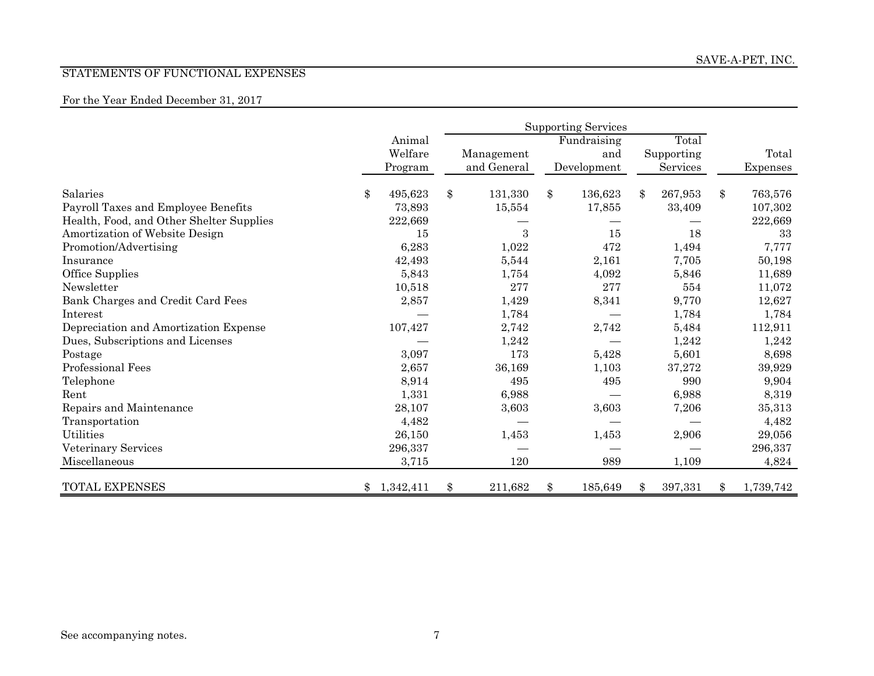#### STATEMENTS OF FUNCTIONAL EXPENSES

### For the Year Ended December 31, 2017

|                                          | <b>Supporting Services</b> |    |             |    |             |    |            |    |           |
|------------------------------------------|----------------------------|----|-------------|----|-------------|----|------------|----|-----------|
|                                          | Animal                     |    |             |    | Fundraising |    | Total      |    |           |
|                                          | Welfare                    |    | Management  |    | and         |    | Supporting |    | Total     |
|                                          | Program                    |    | and General |    | Development |    | Services   |    | Expenses  |
| Salaries                                 | \$<br>495,623              | \$ | 131,330     | \$ | 136,623     | \$ | 267,953    | \$ | 763,576   |
| Payroll Taxes and Employee Benefits      | 73,893                     |    | 15,554      |    | 17,855      |    | 33,409     |    | 107,302   |
| Health, Food, and Other Shelter Supplies | 222,669                    |    |             |    |             |    |            |    | 222,669   |
| Amortization of Website Design           | 15                         |    | 3           |    | 15          |    | 18         |    | 33        |
| Promotion/Advertising                    | 6,283                      |    | 1,022       |    | 472         |    | 1,494      |    | 7,777     |
| Insurance                                | 42,493                     |    | 5,544       |    | 2,161       |    | 7,705      |    | 50,198    |
| Office Supplies                          | 5,843                      |    | 1,754       |    | 4,092       |    | 5,846      |    | 11,689    |
| Newsletter                               | 10,518                     |    | 277         |    | 277         |    | 554        |    | 11,072    |
| Bank Charges and Credit Card Fees        | 2,857                      |    | 1,429       |    | 8,341       |    | 9,770      |    | 12,627    |
| Interest                                 |                            |    | 1,784       |    |             |    | 1,784      |    | 1,784     |
| Depreciation and Amortization Expense    | 107,427                    |    | 2,742       |    | 2,742       |    | 5,484      |    | 112,911   |
| Dues, Subscriptions and Licenses         |                            |    | 1,242       |    |             |    | 1,242      |    | 1,242     |
| Postage                                  | 3,097                      |    | 173         |    | 5,428       |    | 5,601      |    | 8,698     |
| Professional Fees                        | 2,657                      |    | 36,169      |    | 1,103       |    | 37,272     |    | 39,929    |
| Telephone                                | 8,914                      |    | 495         |    | 495         |    | 990        |    | 9,904     |
| Rent                                     | 1,331                      |    | 6,988       |    |             |    | 6,988      |    | 8,319     |
| Repairs and Maintenance                  | 28,107                     |    | 3,603       |    | 3,603       |    | 7,206      |    | 35,313    |
| Transportation                           | 4,482                      |    |             |    |             |    |            |    | 4,482     |
| Utilities                                | 26,150                     |    | 1,453       |    | 1,453       |    | 2,906      |    | 29,056    |
| Veterinary Services                      | 296,337                    |    |             |    |             |    |            |    | 296,337   |
| Miscellaneous                            | 3,715                      |    | 120         |    | 989         |    | 1,109      |    | 4,824     |
| <b>TOTAL EXPENSES</b>                    | 1,342,411<br>$\mathbb{S}$  | \$ | 211,682     | \$ | 185,649     | \$ | 397,331    | \$ | 1,739,742 |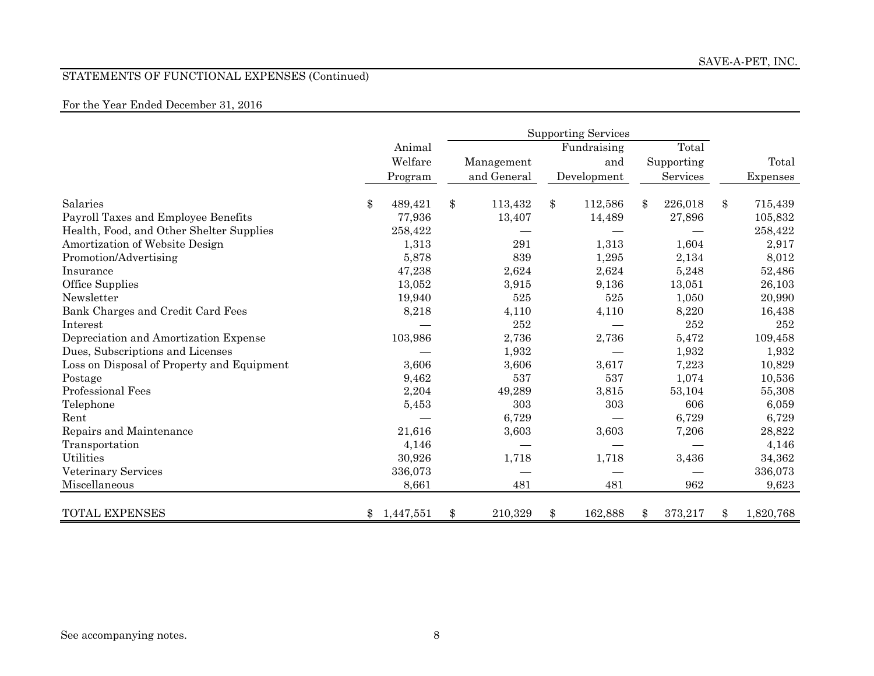## STATEMENTS OF FUNCTIONAL EXPENSES (Continued)

### For the Year Ended December 31, 2016

|                                            |                 | <b>Supporting Services</b> |       |    |             |              |            |                 |
|--------------------------------------------|-----------------|----------------------------|-------|----|-------------|--------------|------------|-----------------|
|                                            | Animal          |                            |       |    | Fundraising |              | Total      |                 |
|                                            | Welfare         | Management                 |       |    | and         |              | Supporting | Total           |
|                                            | Program         | and General                |       |    | Development |              | Services   | Expenses        |
|                                            |                 |                            |       |    |             |              |            |                 |
| Salaries                                   | \$<br>489,421   | \$<br>113,432              |       | \$ | 112,586     | $\mathbb{S}$ | 226,018    | \$<br>715,439   |
| Payroll Taxes and Employee Benefits        | 77,936          | 13,407                     |       |    | 14,489      |              | 27,896     | 105,832         |
| Health, Food, and Other Shelter Supplies   | 258,422         |                            |       |    |             |              |            | 258,422         |
| Amortization of Website Design             | 1,313           |                            | 291   |    | 1,313       |              | 1,604      | 2,917           |
| Promotion/Advertising                      | 5,878           |                            | 839   |    | 1,295       |              | 2,134      | 8,012           |
| Insurance                                  | 47,238          |                            | 2,624 |    | 2,624       |              | 5,248      | 52,486          |
| Office Supplies                            | 13,052          |                            | 3,915 |    | 9,136       |              | 13,051     | 26,103          |
| Newsletter                                 | 19,940          |                            | 525   |    | 525         |              | 1,050      | 20,990          |
| Bank Charges and Credit Card Fees          | 8,218           |                            | 4,110 |    | 4,110       |              | 8,220      | 16,438          |
| Interest                                   |                 |                            | 252   |    |             |              | 252        | 252             |
| Depreciation and Amortization Expense      | 103,986         |                            | 2,736 |    | 2,736       |              | 5,472      | 109,458         |
| Dues, Subscriptions and Licenses           |                 |                            | 1,932 |    |             |              | 1,932      | 1,932           |
| Loss on Disposal of Property and Equipment | 3,606           |                            | 3,606 |    | 3,617       |              | 7,223      | 10,829          |
| Postage                                    | 9,462           |                            | 537   |    | 537         |              | 1,074      | 10,536          |
| Professional Fees                          | 2,204           | 49,289                     |       |    | 3,815       |              | 53,104     | 55,308          |
| Telephone                                  | 5,453           |                            | 303   |    | 303         |              | 606        | 6,059           |
| Rent                                       |                 |                            | 6,729 |    |             |              | 6,729      | 6,729           |
| Repairs and Maintenance                    | 21,616          |                            | 3,603 |    | 3,603       |              | 7,206      | 28,822          |
| Transportation                             | 4,146           |                            |       |    |             |              |            | 4,146           |
| Utilities                                  | 30,926          |                            | 1,718 |    | 1,718       |              | 3,436      | 34,362          |
| Veterinary Services                        | 336,073         |                            |       |    |             |              |            | 336,073         |
| Miscellaneous                              | 8,661           |                            | 481   |    | 481         |              | 962        | 9,623           |
|                                            |                 |                            |       |    |             |              |            |                 |
| <b>TOTAL EXPENSES</b>                      | 1,447,551<br>\$ | \$<br>210,329              |       | \$ | 162,888     | \$           | 373,217    | \$<br>1,820,768 |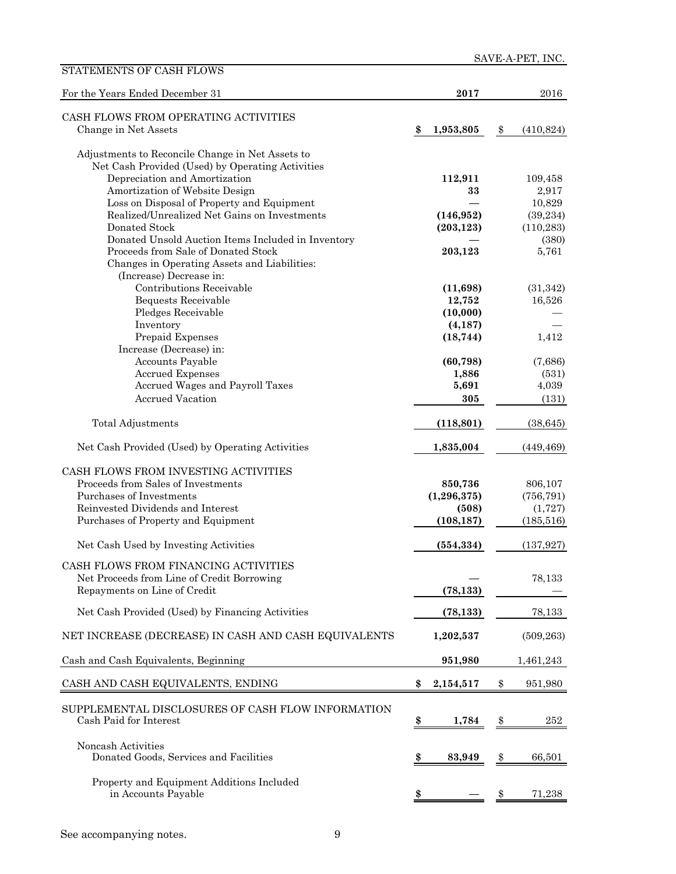| For the Years Ended December 31                                             |     | 2017          | 2016             |
|-----------------------------------------------------------------------------|-----|---------------|------------------|
| CASH FLOWS FROM OPERATING ACTIVITIES                                        |     |               |                  |
| Change in Net Assets                                                        | \$  | 1,953,805     | \$<br>(410, 824) |
| Adjustments to Reconcile Change in Net Assets to                            |     |               |                  |
| Net Cash Provided (Used) by Operating Activities                            |     |               |                  |
| Depreciation and Amortization                                               |     | 112,911       | 109,458          |
| Amortization of Website Design                                              |     | 33            | 2,917            |
| Loss on Disposal of Property and Equipment                                  |     |               | 10,829           |
| Realized/Unrealized Net Gains on Investments                                |     | (146, 952)    | (39, 234)        |
| Donated Stock                                                               |     | (203, 123)    | (110, 283)       |
| Donated Unsold Auction Items Included in Inventory                          |     |               | (380)            |
| Proceeds from Sale of Donated Stock                                         |     | 203,123       | 5,761            |
| Changes in Operating Assets and Liabilities:                                |     |               |                  |
| (Increase) Decrease in:                                                     |     |               |                  |
| Contributions Receivable                                                    |     | (11,698)      | (31, 342)        |
| Bequests Receivable                                                         |     | 12,752        | 16,526           |
| Pledges Receivable                                                          |     | (10,000)      |                  |
| Inventory                                                                   |     | (4, 187)      |                  |
| Prepaid Expenses                                                            |     | (18, 744)     | 1,412            |
| Increase (Decrease) in:                                                     |     |               |                  |
| Accounts Payable                                                            |     | (60, 798)     | (7,686)          |
| <b>Accrued Expenses</b>                                                     |     | 1,886         | (531)            |
| Accrued Wages and Payroll Taxes                                             |     | 5,691         | 4,039            |
| <b>Accrued Vacation</b>                                                     |     | 305           | (131)            |
| Total Adjustments                                                           |     | (118, 801)    | (38, 645)        |
| Net Cash Provided (Used) by Operating Activities                            |     | 1,835,004     | (449, 469)       |
| CASH FLOWS FROM INVESTING ACTIVITIES                                        |     |               |                  |
| Proceeds from Sales of Investments                                          |     | 850,736       | 806,107          |
| Purchases of Investments                                                    |     | (1, 296, 375) | (756, 791)       |
| Reinvested Dividends and Interest                                           |     | (508)         | (1, 727)         |
| Purchases of Property and Equipment                                         |     | (108, 187)    | (185, 516)       |
| Net Cash Used by Investing Activities                                       |     | (554, 334)    | (137, 927)       |
| CASH FLOWS FROM FINANCING ACTIVITIES                                        |     |               |                  |
| Net Proceeds from Line of Credit Borrowing                                  |     |               | 78,133           |
| Repayments on Line of Credit                                                |     | (78, 133)     |                  |
|                                                                             |     |               |                  |
| Net Cash Provided (Used) by Financing Activities                            |     | (78, 133)     | 78,133           |
| NET INCREASE (DECREASE) IN CASH AND CASH EQUIVALENTS                        |     | 1,202,537     | (509, 263)       |
| Cash and Cash Equivalents, Beginning                                        |     | 951,980       | 1,461,243        |
| CASH AND CASH EQUIVALENTS, ENDING                                           | \$  | 2,154,517     | \$<br>951,980    |
|                                                                             |     |               |                  |
| SUPPLEMENTAL DISCLOSURES OF CASH FLOW INFORMATION<br>Cash Paid for Interest |     |               |                  |
|                                                                             | \$  | 1,784         | \$<br>252        |
| Noncash Activities                                                          |     |               |                  |
| Donated Goods, Services and Facilities                                      | \$, | 83,949        | \$<br>66,501     |
|                                                                             |     |               |                  |
| Property and Equipment Additions Included                                   |     |               |                  |
| in Accounts Payable                                                         | \$  |               | \$<br>71,238     |

STATEMENTS OF CASH FLOWS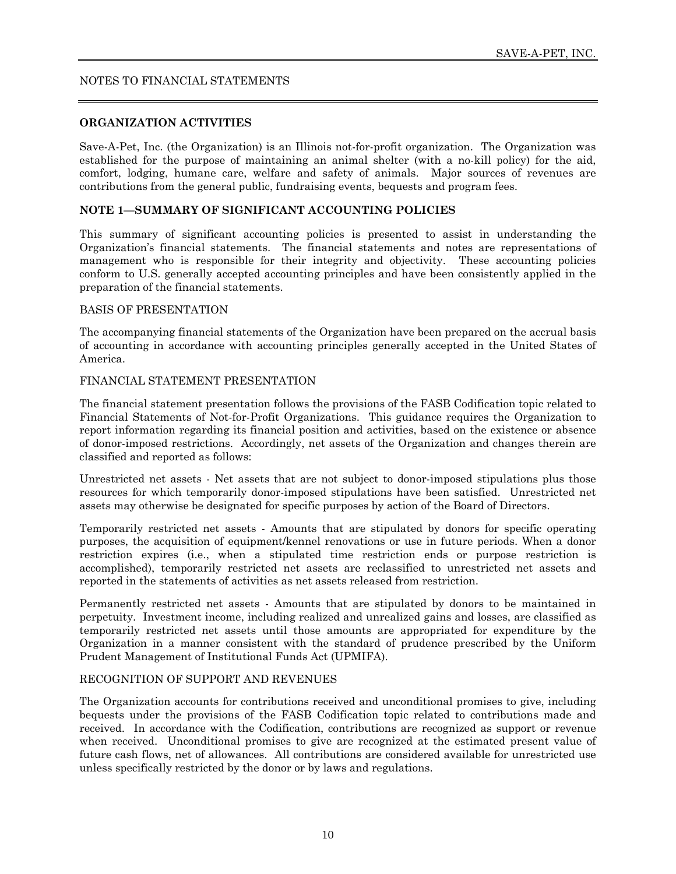#### **ORGANIZATION ACTIVITIES**

Save-A-Pet, Inc. (the Organization) is an Illinois not-for-profit organization. The Organization was established for the purpose of maintaining an animal shelter (with a no-kill policy) for the aid, comfort, lodging, humane care, welfare and safety of animals. Major sources of revenues are contributions from the general public, fundraising events, bequests and program fees.

#### **NOTE 1—SUMMARY OF SIGNIFICANT ACCOUNTING POLICIES**

This summary of significant accounting policies is presented to assist in understanding the Organization's financial statements. The financial statements and notes are representations of management who is responsible for their integrity and objectivity. These accounting policies conform to U.S. generally accepted accounting principles and have been consistently applied in the preparation of the financial statements.

#### BASIS OF PRESENTATION

The accompanying financial statements of the Organization have been prepared on the accrual basis of accounting in accordance with accounting principles generally accepted in the United States of America.

#### FINANCIAL STATEMENT PRESENTATION

The financial statement presentation follows the provisions of the FASB Codification topic related to Financial Statements of Not-for-Profit Organizations. This guidance requires the Organization to report information regarding its financial position and activities, based on the existence or absence of donor-imposed restrictions. Accordingly, net assets of the Organization and changes therein are classified and reported as follows:

Unrestricted net assets - Net assets that are not subject to donor-imposed stipulations plus those resources for which temporarily donor-imposed stipulations have been satisfied. Unrestricted net assets may otherwise be designated for specific purposes by action of the Board of Directors.

Temporarily restricted net assets - Amounts that are stipulated by donors for specific operating purposes, the acquisition of equipment/kennel renovations or use in future periods. When a donor restriction expires (i.e., when a stipulated time restriction ends or purpose restriction is accomplished), temporarily restricted net assets are reclassified to unrestricted net assets and reported in the statements of activities as net assets released from restriction.

Permanently restricted net assets - Amounts that are stipulated by donors to be maintained in perpetuity. Investment income, including realized and unrealized gains and losses, are classified as temporarily restricted net assets until those amounts are appropriated for expenditure by the Organization in a manner consistent with the standard of prudence prescribed by the Uniform Prudent Management of Institutional Funds Act (UPMIFA).

#### RECOGNITION OF SUPPORT AND REVENUES

The Organization accounts for contributions received and unconditional promises to give, including bequests under the provisions of the FASB Codification topic related to contributions made and received. In accordance with the Codification, contributions are recognized as support or revenue when received. Unconditional promises to give are recognized at the estimated present value of future cash flows, net of allowances. All contributions are considered available for unrestricted use unless specifically restricted by the donor or by laws and regulations.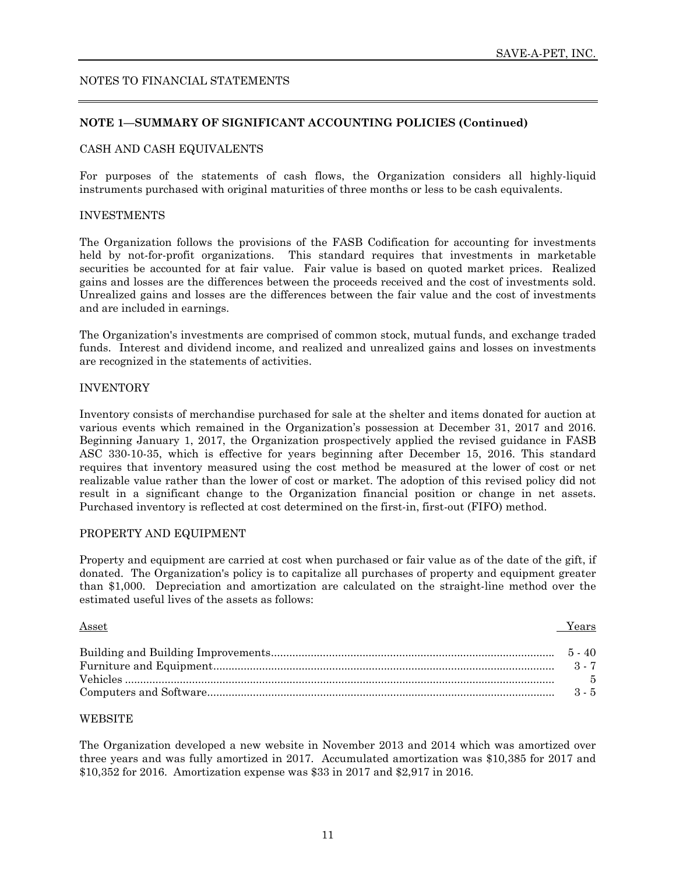#### **NOTE 1—SUMMARY OF SIGNIFICANT ACCOUNTING POLICIES (Continued)**

#### CASH AND CASH EQUIVALENTS

For purposes of the statements of cash flows, the Organization considers all highly-liquid instruments purchased with original maturities of three months or less to be cash equivalents.

#### INVESTMENTS

The Organization follows the provisions of the FASB Codification for accounting for investments held by not-for-profit organizations. This standard requires that investments in marketable securities be accounted for at fair value. Fair value is based on quoted market prices. Realized gains and losses are the differences between the proceeds received and the cost of investments sold. Unrealized gains and losses are the differences between the fair value and the cost of investments and are included in earnings.

The Organization's investments are comprised of common stock, mutual funds, and exchange traded funds. Interest and dividend income, and realized and unrealized gains and losses on investments are recognized in the statements of activities.

#### INVENTORY

Inventory consists of merchandise purchased for sale at the shelter and items donated for auction at various events which remained in the Organization's possession at December 31, 2017 and 2016. Beginning January 1, 2017, the Organization prospectively applied the revised guidance in FASB ASC 330-10-35, which is effective for years beginning after December 15, 2016. This standard requires that inventory measured using the cost method be measured at the lower of cost or net realizable value rather than the lower of cost or market. The adoption of this revised policy did not result in a significant change to the Organization financial position or change in net assets. Purchased inventory is reflected at cost determined on the first-in, first-out (FIFO) method.

#### PROPERTY AND EQUIPMENT

Property and equipment are carried at cost when purchased or fair value as of the date of the gift, if donated. The Organization's policy is to capitalize all purchases of property and equipment greater than \$1,000. Depreciation and amortization are calculated on the straight-line method over the estimated useful lives of the assets as follows:

**Asset The Contract Service Contract Service Contract Service Contract Service Contract Service Contract Service** 

#### WEBSITE

The Organization developed a new website in November 2013 and 2014 which was amortized over three years and was fully amortized in 2017. Accumulated amortization was \$10,385 for 2017 and \$10,352 for 2016. Amortization expense was \$33 in 2017 and \$2,917 in 2016.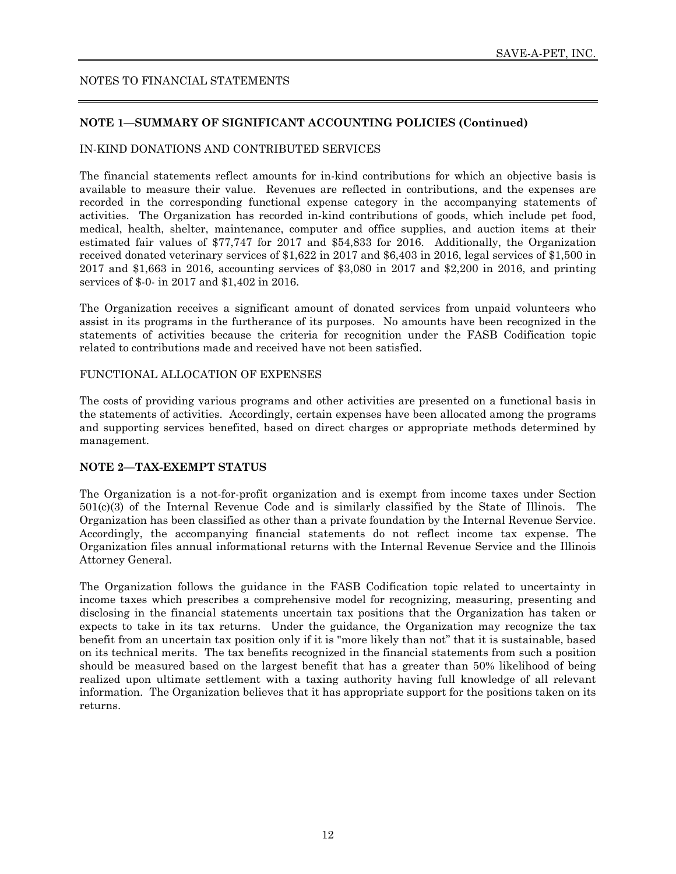#### **NOTE 1—SUMMARY OF SIGNIFICANT ACCOUNTING POLICIES (Continued)**

#### IN-KIND DONATIONS AND CONTRIBUTED SERVICES

The financial statements reflect amounts for in-kind contributions for which an objective basis is available to measure their value. Revenues are reflected in contributions, and the expenses are recorded in the corresponding functional expense category in the accompanying statements of activities. The Organization has recorded in-kind contributions of goods, which include pet food, medical, health, shelter, maintenance, computer and office supplies, and auction items at their estimated fair values of \$77,747 for 2017 and \$54,833 for 2016. Additionally, the Organization received donated veterinary services of \$1,622 in 2017 and \$6,403 in 2016, legal services of \$1,500 in 2017 and \$1,663 in 2016, accounting services of \$3,080 in 2017 and \$2,200 in 2016, and printing services of \$-0- in 2017 and \$1,402 in 2016.

The Organization receives a significant amount of donated services from unpaid volunteers who assist in its programs in the furtherance of its purposes. No amounts have been recognized in the statements of activities because the criteria for recognition under the FASB Codification topic related to contributions made and received have not been satisfied.

#### FUNCTIONAL ALLOCATION OF EXPENSES

The costs of providing various programs and other activities are presented on a functional basis in the statements of activities. Accordingly, certain expenses have been allocated among the programs and supporting services benefited, based on direct charges or appropriate methods determined by management.

#### **NOTE 2—TAX-EXEMPT STATUS**

The Organization is a not-for-profit organization and is exempt from income taxes under Section 501(c)(3) of the Internal Revenue Code and is similarly classified by the State of Illinois. The Organization has been classified as other than a private foundation by the Internal Revenue Service. Accordingly, the accompanying financial statements do not reflect income tax expense. The Organization files annual informational returns with the Internal Revenue Service and the Illinois Attorney General.

The Organization follows the guidance in the FASB Codification topic related to uncertainty in income taxes which prescribes a comprehensive model for recognizing, measuring, presenting and disclosing in the financial statements uncertain tax positions that the Organization has taken or expects to take in its tax returns. Under the guidance, the Organization may recognize the tax benefit from an uncertain tax position only if it is "more likely than not" that it is sustainable, based on its technical merits. The tax benefits recognized in the financial statements from such a position should be measured based on the largest benefit that has a greater than 50% likelihood of being realized upon ultimate settlement with a taxing authority having full knowledge of all relevant information. The Organization believes that it has appropriate support for the positions taken on its returns.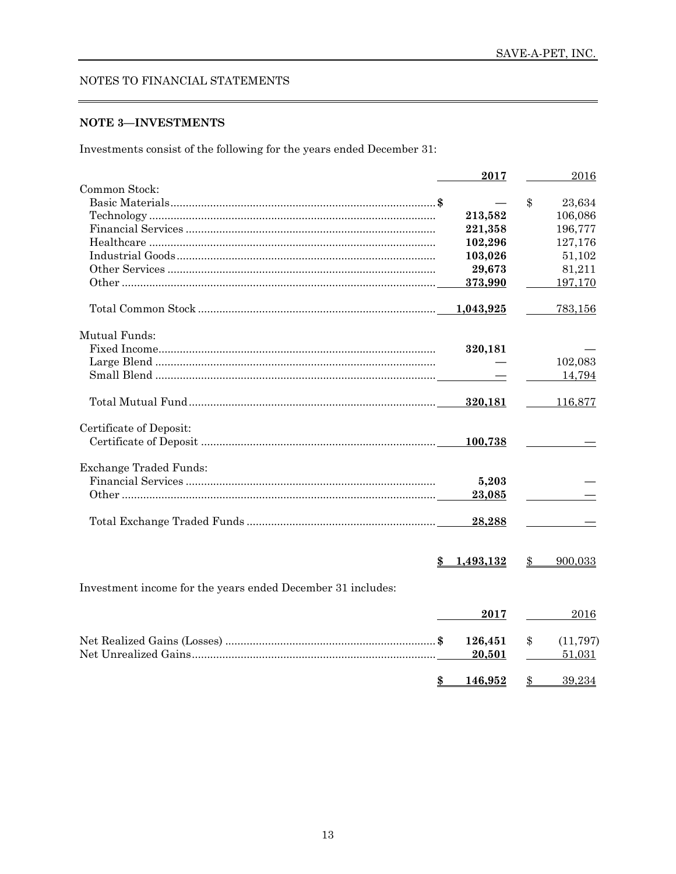#### **NOTE 3-INVESTMENTS**

Investments consist of the following for the years ended December 31:

|                                                             | 2017      |       | 2016      |
|-------------------------------------------------------------|-----------|-------|-----------|
| Common Stock:                                               |           |       |           |
|                                                             |           | $\$\$ | 23,634    |
|                                                             | 213,582   |       | 106,086   |
|                                                             | 221,358   |       | 196,777   |
|                                                             | 102,296   |       | 127,176   |
|                                                             | 103,026   |       | 51,102    |
|                                                             | 29,673    |       | 81,211    |
|                                                             | 373,990   |       | 197,170   |
|                                                             | 1,043,925 |       | 783,156   |
| Mutual Funds:                                               |           |       |           |
|                                                             | 320,181   |       |           |
|                                                             |           |       | 102,083   |
|                                                             |           |       | 14,794    |
|                                                             |           |       |           |
|                                                             | 320,181   |       | 116,877   |
| Certificate of Deposit:                                     |           |       |           |
|                                                             | 100,738   |       |           |
| <b>Exchange Traded Funds:</b>                               |           |       |           |
|                                                             | 5,203     |       |           |
|                                                             | 23,085    |       |           |
|                                                             |           |       |           |
|                                                             | 28,288    |       |           |
|                                                             |           |       |           |
| \$                                                          | 1,493,132 | \$    | 900,033   |
| Investment income for the years ended December 31 includes: |           |       |           |
|                                                             |           |       |           |
|                                                             | 2017      |       | 2016      |
|                                                             | 126,451   | \$    | (11, 797) |
|                                                             | 20,501    |       | 51,031    |
| $\frac{3}{2}$                                               | 146,952   | \$    | 39,234    |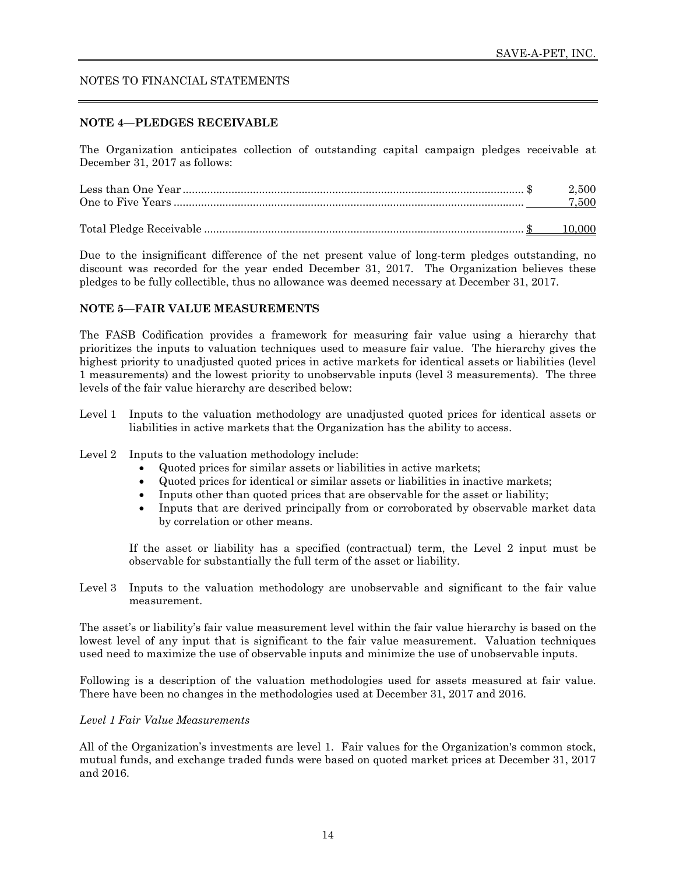#### **NOTE 4—PLEDGES RECEIVABLE**

The Organization anticipates collection of outstanding capital campaign pledges receivable at December 31, 2017 as follows:

Due to the insignificant difference of the net present value of long-term pledges outstanding, no discount was recorded for the year ended December 31, 2017. The Organization believes these pledges to be fully collectible, thus no allowance was deemed necessary at December 31, 2017.

#### **NOTE 5—FAIR VALUE MEASUREMENTS**

The FASB Codification provides a framework for measuring fair value using a hierarchy that prioritizes the inputs to valuation techniques used to measure fair value. The hierarchy gives the highest priority to unadjusted quoted prices in active markets for identical assets or liabilities (level 1 measurements) and the lowest priority to unobservable inputs (level 3 measurements). The three levels of the fair value hierarchy are described below:

- Level 1 Inputs to the valuation methodology are unadjusted quoted prices for identical assets or liabilities in active markets that the Organization has the ability to access.
- Level 2 Inputs to the valuation methodology include:
	- Quoted prices for similar assets or liabilities in active markets;
	- Quoted prices for identical or similar assets or liabilities in inactive markets;
	- Inputs other than quoted prices that are observable for the asset or liability;
	- Inputs that are derived principally from or corroborated by observable market data by correlation or other means.

If the asset or liability has a specified (contractual) term, the Level 2 input must be observable for substantially the full term of the asset or liability.

Level 3 Inputs to the valuation methodology are unobservable and significant to the fair value measurement.

The asset's or liability's fair value measurement level within the fair value hierarchy is based on the lowest level of any input that is significant to the fair value measurement. Valuation techniques used need to maximize the use of observable inputs and minimize the use of unobservable inputs.

Following is a description of the valuation methodologies used for assets measured at fair value. There have been no changes in the methodologies used at December 31, 2017 and 2016.

#### *Level 1 Fair Value Measurements*

All of the Organization's investments are level 1. Fair values for the Organization's common stock, mutual funds, and exchange traded funds were based on quoted market prices at December 31, 2017 and 2016.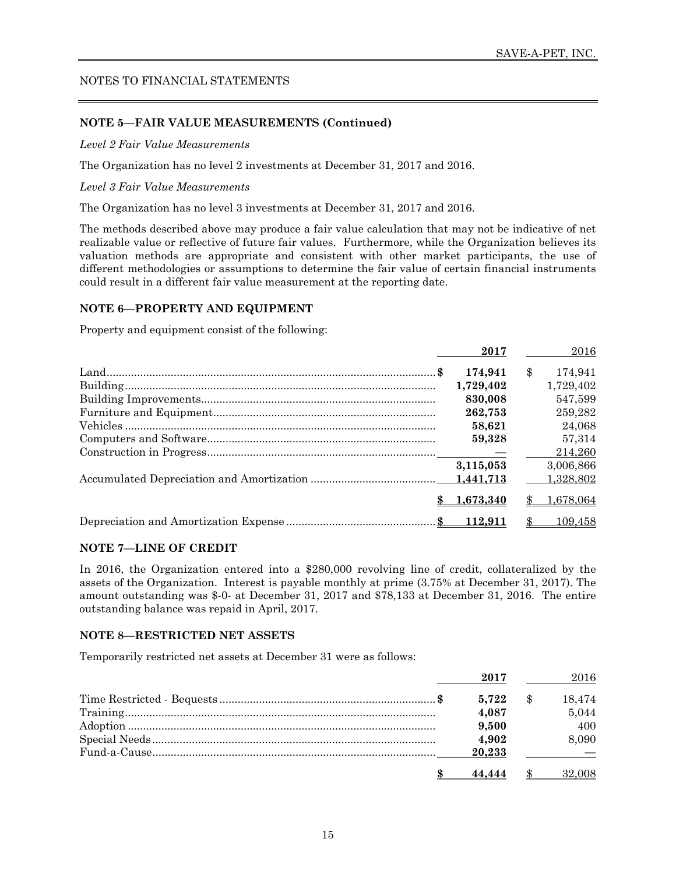#### **NOTE 5—FAIR VALUE MEASUREMENTS (Continued)**

*Level 2 Fair Value Measurements* 

The Organization has no level 2 investments at December 31, 2017 and 2016.

*Level 3 Fair Value Measurements* 

The Organization has no level 3 investments at December 31, 2017 and 2016.

The methods described above may produce a fair value calculation that may not be indicative of net realizable value or reflective of future fair values. Furthermore, while the Organization believes its valuation methods are appropriate and consistent with other market participants, the use of different methodologies or assumptions to determine the fair value of certain financial instruments could result in a different fair value measurement at the reporting date.

#### **NOTE 6—PROPERTY AND EQUIPMENT**

Property and equipment consist of the following:

| 2017      |               | 2016      |
|-----------|---------------|-----------|
| 174.941   | $\mathbf{\$}$ | 174.941   |
| 1,729,402 |               | 1,729,402 |
| 830,008   |               | 547,599   |
| 262,753   |               | 259.282   |
| 58.621    |               | 24,068    |
| 59,328    |               | 57.314    |
|           |               | 214.260   |
| 3,115,053 |               | 3,006,866 |
|           |               | 1,328,802 |
| 1,673,340 |               | 1.678.064 |
|           |               | 109.458   |

#### **NOTE 7—LINE OF CREDIT**

In 2016, the Organization entered into a \$280,000 revolving line of credit, collateralized by the assets of the Organization. Interest is payable monthly at prime (3.75% at December 31, 2017). The amount outstanding was \$-0- at December 31, 2017 and \$78,133 at December 31, 2016. The entire outstanding balance was repaid in April, 2017.

#### **NOTE 8—RESTRICTED NET ASSETS**

Temporarily restricted net assets at December 31 were as follows:

| 2017   | 2016   |
|--------|--------|
| 5.722  | 18.474 |
| 4,087  | 5,044  |
| 9,500  | 400    |
| 4.902  | 8,090  |
| 20.233 |        |
|        | 32.008 |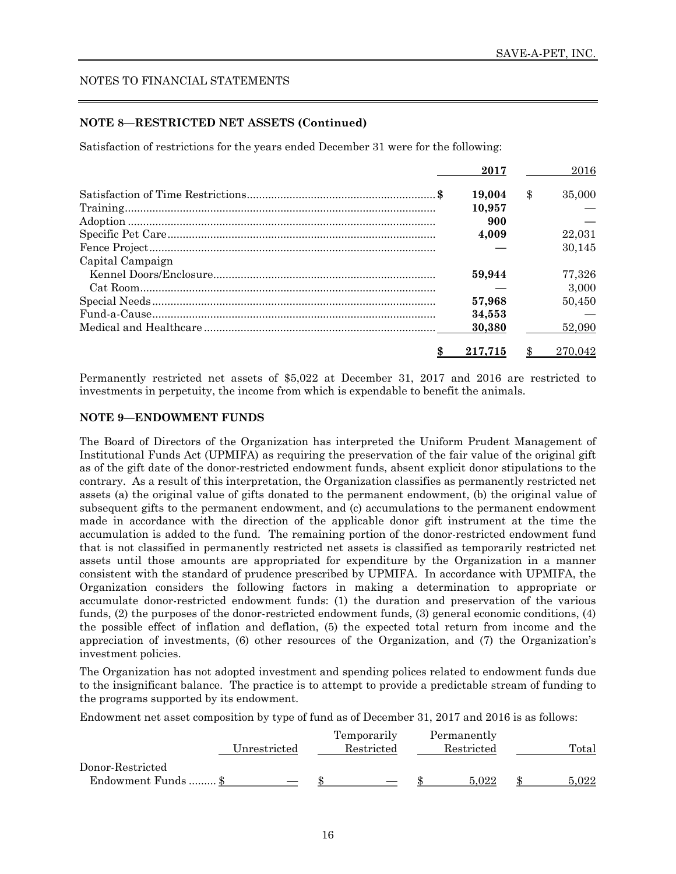#### **NOTE 8—RESTRICTED NET ASSETS (Continued)**

Satisfaction of restrictions for the years ended December 31 were for the following:

|                  | 2017    | 2016         |
|------------------|---------|--------------|
|                  | 19.004  | \$<br>35,000 |
|                  | 10.957  |              |
|                  | 900     |              |
|                  | 4,009   | 22,031       |
|                  |         | 30.145       |
| Capital Campaign |         |              |
|                  | 59.944  | 77.326       |
|                  |         | 3.000        |
|                  | 57,968  | 50.450       |
|                  | 34,553  |              |
|                  | 30,380  | 52,090       |
|                  | 217.715 | 270,042      |

Permanently restricted net assets of \$5,022 at December 31, 2017 and 2016 are restricted to investments in perpetuity, the income from which is expendable to benefit the animals.

#### **NOTE 9—ENDOWMENT FUNDS**

The Board of Directors of the Organization has interpreted the Uniform Prudent Management of Institutional Funds Act (UPMIFA) as requiring the preservation of the fair value of the original gift as of the gift date of the donor-restricted endowment funds, absent explicit donor stipulations to the contrary. As a result of this interpretation, the Organization classifies as permanently restricted net assets (a) the original value of gifts donated to the permanent endowment, (b) the original value of subsequent gifts to the permanent endowment, and (c) accumulations to the permanent endowment made in accordance with the direction of the applicable donor gift instrument at the time the accumulation is added to the fund. The remaining portion of the donor-restricted endowment fund that is not classified in permanently restricted net assets is classified as temporarily restricted net assets until those amounts are appropriated for expenditure by the Organization in a manner consistent with the standard of prudence prescribed by UPMIFA. In accordance with UPMIFA, the Organization considers the following factors in making a determination to appropriate or accumulate donor-restricted endowment funds: (1) the duration and preservation of the various funds, (2) the purposes of the donor-restricted endowment funds, (3) general economic conditions, (4) the possible effect of inflation and deflation, (5) the expected total return from income and the appreciation of investments, (6) other resources of the Organization, and (7) the Organization's investment policies.

The Organization has not adopted investment and spending polices related to endowment funds due to the insignificant balance. The practice is to attempt to provide a predictable stream of funding to the programs supported by its endowment.

Endowment net asset composition by type of fund as of December 31, 2017 and 2016 is as follows:

| Unrestricted                            | Temporarily<br>Restricted | Permanently<br>Restricted | Total     |
|-----------------------------------------|---------------------------|---------------------------|-----------|
| Donor-Restricted<br>Endowment Funds  \$ |                           | 5.022                     | $5.022\,$ |